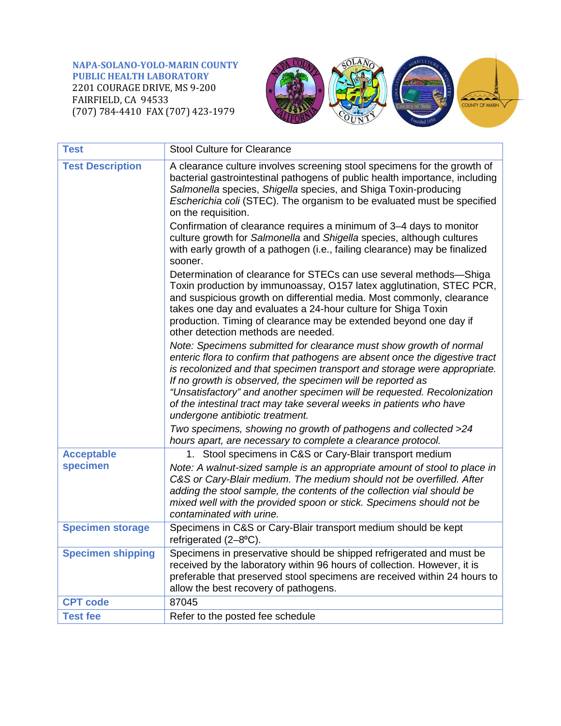**NAPA-SOLANO-YOLO-MARIN COUNTY PUBLIC HEALTH LABORATORY** 2201 COURAGE DRIVE, MS 9-200 FAIRFIELD, CA 94533 (707) 784-4410 FAX (707) 423-1979



| <b>Test</b>              | <b>Stool Culture for Clearance</b>                                                                                                                                                                                                                                                                                                                                                                                                                                               |
|--------------------------|----------------------------------------------------------------------------------------------------------------------------------------------------------------------------------------------------------------------------------------------------------------------------------------------------------------------------------------------------------------------------------------------------------------------------------------------------------------------------------|
| <b>Test Description</b>  | A clearance culture involves screening stool specimens for the growth of<br>bacterial gastrointestinal pathogens of public health importance, including<br>Salmonella species, Shigella species, and Shiga Toxin-producing<br>Escherichia coli (STEC). The organism to be evaluated must be specified<br>on the requisition.                                                                                                                                                     |
|                          | Confirmation of clearance requires a minimum of 3-4 days to monitor<br>culture growth for Salmonella and Shigella species, although cultures<br>with early growth of a pathogen (i.e., failing clearance) may be finalized<br>sooner.                                                                                                                                                                                                                                            |
|                          | Determination of clearance for STECs can use several methods-Shiga<br>Toxin production by immunoassay, O157 latex agglutination, STEC PCR,<br>and suspicious growth on differential media. Most commonly, clearance<br>takes one day and evaluates a 24-hour culture for Shiga Toxin<br>production. Timing of clearance may be extended beyond one day if<br>other detection methods are needed.                                                                                 |
|                          | Note: Specimens submitted for clearance must show growth of normal<br>enteric flora to confirm that pathogens are absent once the digestive tract<br>is recolonized and that specimen transport and storage were appropriate.<br>If no growth is observed, the specimen will be reported as<br>"Unsatisfactory" and another specimen will be requested. Recolonization<br>of the intestinal tract may take several weeks in patients who have<br>undergone antibiotic treatment. |
|                          | Two specimens, showing no growth of pathogens and collected >24<br>hours apart, are necessary to complete a clearance protocol.                                                                                                                                                                                                                                                                                                                                                  |
| <b>Acceptable</b>        | 1. Stool specimens in C&S or Cary-Blair transport medium                                                                                                                                                                                                                                                                                                                                                                                                                         |
| specimen                 | Note: A walnut-sized sample is an appropriate amount of stool to place in<br>C&S or Cary-Blair medium. The medium should not be overfilled. After<br>adding the stool sample, the contents of the collection vial should be<br>mixed well with the provided spoon or stick. Specimens should not be<br>contaminated with urine.                                                                                                                                                  |
| <b>Specimen storage</b>  | Specimens in C&S or Cary-Blair transport medium should be kept<br>refrigerated (2-8°C).                                                                                                                                                                                                                                                                                                                                                                                          |
| <b>Specimen shipping</b> | Specimens in preservative should be shipped refrigerated and must be<br>received by the laboratory within 96 hours of collection. However, it is<br>preferable that preserved stool specimens are received within 24 hours to<br>allow the best recovery of pathogens.                                                                                                                                                                                                           |
| <b>CPT code</b>          | 87045                                                                                                                                                                                                                                                                                                                                                                                                                                                                            |
| <b>Test fee</b>          | Refer to the posted fee schedule                                                                                                                                                                                                                                                                                                                                                                                                                                                 |